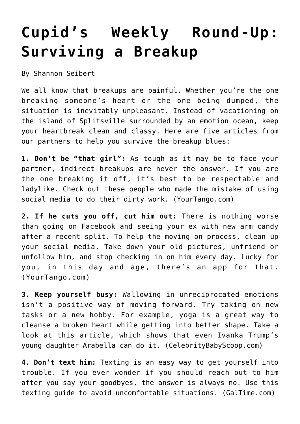## **[Cupid's Weekly Round-Up:](https://cupidspulse.com/74230/cupids-weekly-round-up-surviving-breakup/) [Surviving a Breakup](https://cupidspulse.com/74230/cupids-weekly-round-up-surviving-breakup/)**

By Shannon Seibert

We all know that breakups are painful. Whether you're the one breaking someone's heart or the one being dumped, the situation is inevitably unpleasant. Instead of vacationing on the island of Splitsville surrounded by an emotion ocean, keep your heartbreak clean and classy. Here are five articles from our partners to help you survive the breakup blues:

**1. Don't be "that girl":** As tough as it may be to face your partner, indirect breakups are never the answer. If you are the one breaking it off, it's best to be respectable and ladylike. Check out these people who made the mistake of using social media to do their dirty work. (YourTango.com)

**2. If he cuts you off, cut him out:** There is nothing worse than going on Facebook and seeing your ex with new arm candy after a recent split. To help the moving on process, clean up your social media. Take down your old pictures, unfriend or unfollow him, and stop checking in on him every day. Lucky for you, in this day and age, there's an app for that. (YourTango.com)

**3. Keep yourself busy:** Wallowing in unreciprocated emotions isn't a positive way of moving forward. Try taking on new tasks or a new hobby. For example, yoga is a great way to cleanse a broken heart while getting into better shape. Take a look at this article, which shows that even Ivanka Trump's young daughter Arabella can do it. (CelebrityBabyScoop.com)

**4. Don't text him:** Texting is an easy way to get yourself into trouble. If you ever wonder if you should reach out to him after you say your goodbyes, the answer is always no. Use this texting guide to avoid uncomfortable situations. (GalTime.com)